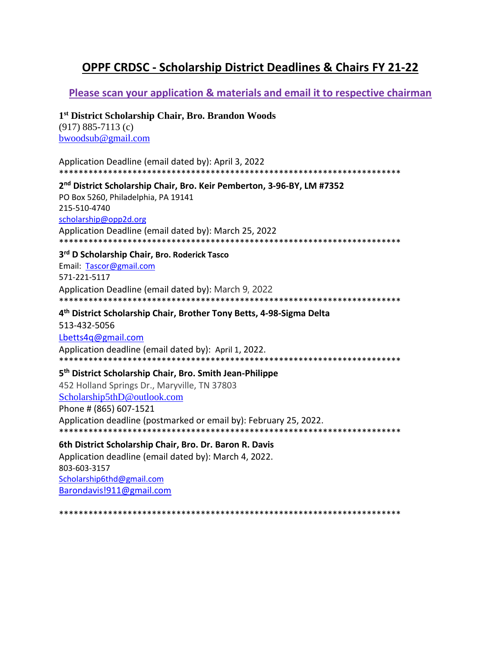# **OPPF CRDSC - Scholarship District Deadlines & Chairs FY 21-22**

# Please scan your application & materials and email it to respective chairman

### 1<sup>st</sup> District Scholarship Chair, Bro. Brandon Woods

 $(917) 885 - 7113$  (c) bwoodsub@gmail.com

| Application Deadline (email dated by): April 3, 2022                               |
|------------------------------------------------------------------------------------|
|                                                                                    |
| 2 <sup>nd</sup> District Scholarship Chair, Bro. Keir Pemberton, 3-96-BY, LM #7352 |

PO Box 5260, Philadelphia, PA 19141 215-510-4740 scholarship@opp2d.org Application Deadline (email dated by): March 25, 2022

#### 3rd D Scholarship Chair, Bro. Roderick Tasco

Email: Tascor@gmail.com 571-221-5117 Application Deadline (email dated by): March 9, 2022 

#### 4<sup>th</sup> District Scholarship Chair, Brother Tony Betts, 4-98-Sigma Delta

513-432-5056 Lbetts4q@gmail.com Application deadline (email dated by): April 1, 2022. 

# 5<sup>th</sup> District Scholarship Chair, Bro. Smith Jean-Philippe

452 Holland Springs Dr., Maryville, TN 37803 Scholarship5thD@outlook.com Phone # (865) 607-1521 Application deadline (postmarked or email by): February 25, 2022. 

### 6th District Scholarship Chair, Bro. Dr. Baron R. Davis

Application deadline (email dated by): March 4, 2022. 803-603-3157 Scholarship6thd@gmail.com Barondavis!911@gmail.com